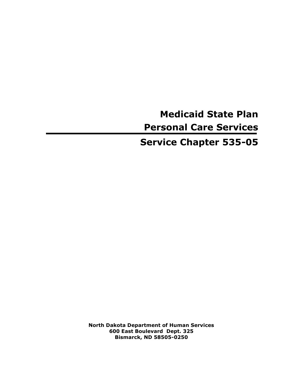# **Medicaid State Plan Personal Care Services**

## **Service Chapter 535-05**

**North Dakota Department of Human Services 600 East Boulevard Dept. 325 Bismarck, ND 58505-0250**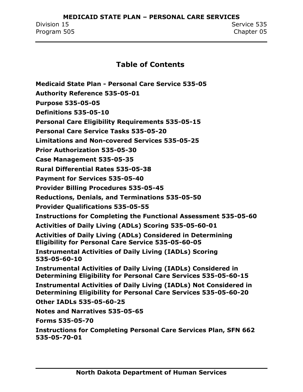**MEDICAID STATE PLAN – PERSONAL CARE SERVICES** Division 15 Service 535 Program 505 Chapter 05

#### **Table of Contents**

**Medicaid State Plan - [Personal Care Service 535-05](#page-3-0) [Authority Reference 535-05-01](#page-3-1) [Purpose 535-05-05](#page-4-0) [Definitions 535-05-10](#page-6-0) [Personal Care Eligibility Requirements 535-05-15](#page-8-0) [Personal Care Service Tasks 535-05-20](#page-12-0) [Limitations and Non-covered Services 535-05-25](#page-14-0) [Prior Authorization 535-05-30](#page-16-0) [Case Management 535-05-35](#page-17-0) [Rural Differential Rates 535-05-38](#page-24-0) [Payment for Services 535-05-40](#page-27-0) [Provider Billing Procedures 535-05-45](#page-29-0) [Reductions, Denials, and Terminations 535-05-50](#page-31-0) [Provider Qualifications 535-05-55](#page-34-0) [Instructions for Completing the Functional Assessment 535-05-60](#page-35-0) [Activities of Daily Living \(ADLs\) Scoring 535-05-60-01](#page-35-1) [Activities of Daily Living \(ADLs\) Considered in Determining](#page-37-0)  [Eligibility for Personal Care Service 535-05-60-05](#page-37-0) [Instrumental Activities of Daily Living \(IADLs\) Scoring](#page-41-0)  [535-05-60-10](#page-41-0) [Instrumental Activities of Daily Living \(IADLs\) Considered in](#page-43-0)  [Determining Eligibility for Personal Care Services 535-05-60-15](#page-43-0) [Instrumental Activities of Daily Living \(IADLs\) Not Considered in](#page-46-0)  [Determining Eligibility for Personal Care Services 535-05-60-20](#page-46-0) [Other IADLs 535-05-60-25](#page-49-0) [Notes and Narratives 535-05-65](#page-50-0) [Forms 535-05-70](#page-52-0) [Instructions for Completing Personal Care Services Plan, SFN 662](#page-52-1)  [535-05-70-01](#page-52-1)**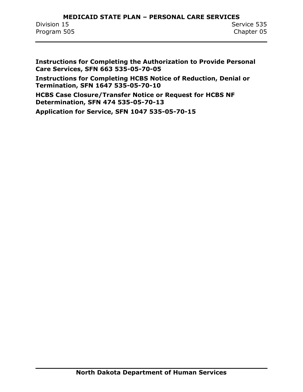#### **MEDICAID STATE PLAN – PERSONAL CARE SERVICES** Division 15 Service 535 Program 505 Chapter 05

**[Instructions for Completing the Authorization to Provide Personal](#page-60-0)  [Care Services, SFN 663 535-05-70-05](#page-60-0)**

**[Instructions for Completing HCBS Notice of Reduction, Denial or](#page-64-0)  [Termination, SFN 1647 535-05-70-10](#page-64-0)**

**HCBS [Case Closure/Transfer Notice or Request for HCBS NF](#page-67-0)  [Determination, SFN 474 535-05-70-13](#page-67-0)**

**[Application for Service, SFN 1047 535-05-70-15](#page-68-0)**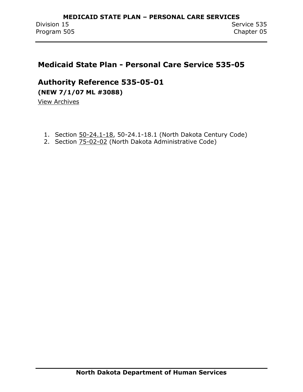## <span id="page-3-0"></span>**Medicaid State Plan - Personal Care Service 535-05**

### <span id="page-3-1"></span>**Authority Reference 535-05-01**

**(NEW 7/1/07 ML #3088)**

View Archives

- 1. Section 50-24.1-18, 50-24.1-18.1 (North Dakota Century Code)
- 2. Section **75-02-02** (North Dakota Administrative Code)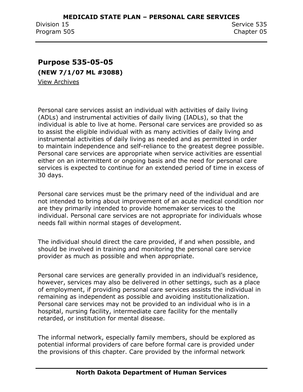## <span id="page-4-0"></span>**Purpose 535-05-05 (NEW 7/1/07 ML #3088)**

View Archives

Personal care services assist an individual with activities of daily living (ADLs) and instrumental activities of daily living (IADLs), so that the individual is able to live at home. Personal care services are provided so as to assist the eligible individual with as many activities of daily living and instrumental activities of daily living as needed and as permitted in order to maintain independence and self-reliance to the greatest degree possible. Personal care services are appropriate when service activities are essential either on an intermittent or ongoing basis and the need for personal care services is expected to continue for an extended period of time in excess of 30 days.

Personal care services must be the primary need of the individual and are not intended to bring about improvement of an acute medical condition nor are they primarily intended to provide homemaker services to the individual. Personal care services are not appropriate for individuals whose needs fall within normal stages of development.

The individual should direct the care provided, if and when possible, and should be involved in training and monitoring the personal care service provider as much as possible and when appropriate.

Personal care services are generally provided in an individual's residence, however, services may also be delivered in other settings, such as a place of employment, if providing personal care services assists the individual in remaining as independent as possible and avoiding institutionalization. Personal care services may not be provided to an individual who is in a hospital, nursing facility, intermediate care facility for the mentally retarded, or institution for mental disease.

The informal network, especially family members, should be explored as potential informal providers of care before formal care is provided under the provisions of this chapter. Care provided by the informal network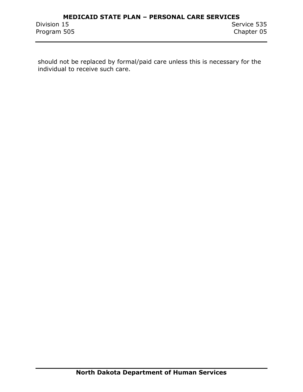should not be replaced by formal/paid care unless this is necessary for the individual to receive such care.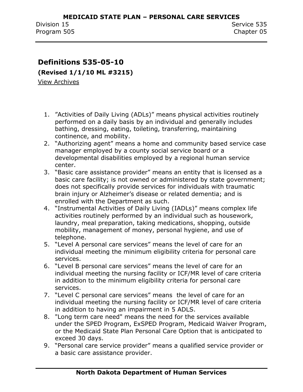## <span id="page-6-0"></span>**Definitions 535-05-10**

**(Revised 1/1/10 ML #3215)**

View Archives

- 1. "Activities of Daily Living (ADLs)" means physical activities routinely performed on a daily basis by an individual and generally includes bathing, dressing, eating, toileting, transferring, maintaining continence, and mobility.
- 2. "Authorizing agent" means a home and community based service case manager employed by a county social service board or a developmental disabilities employed by a regional human service center.
- 3. "Basic care assistance provider" means an entity that is licensed as a basic care facility; is not owned or administered by state government; does not specifically provide services for individuals with traumatic brain injury or Alzheimer's disease or related dementia; and is enrolled with the Department as such.
- 4. "Instrumental Activities of Daily Living (IADLs)" means complex life activities routinely performed by an individual such as housework, laundry, meal preparation, taking medications, shopping, outside mobility, management of money, personal hygiene, and use of telephone.
- 5. "Level A personal care services" means the level of care for an individual meeting the minimum eligibility criteria for personal care services.
- 6. "Level B personal care services" means the level of care for an individual meeting the nursing facility or ICF/MR level of care criteria in addition to the minimum eligibility criteria for personal care services.
- 7. "Level C personal care services" means the level of care for an individual meeting the nursing facility or ICF/MR level of care criteria in addition to having an impairment in 5 ADLS.
- 8. "Long term care need" means the need for the services available under the SPED Program, ExSPED Program, Medicaid Waiver Program, or the Medicaid State Plan Personal Care Option that is anticipated to exceed 30 days.
- 9. "Personal care service provider" means a qualified service provider or a basic care assistance provider.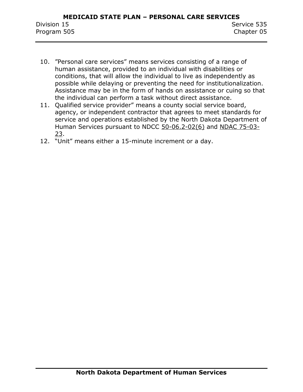- 10. "Personal care services" means services consisting of a range of human assistance, provided to an individual with disabilities or conditions, that will allow the individual to live as independently as possible while delaying or preventing the need for institutionalization. Assistance may be in the form of hands on assistance or cuing so that the individual can perform a task without direct assistance.
- 11. Qualified service provider" means a county social service board, agency, or independent contractor that agrees to meet standards for service and operations established by the North Dakota Department of Human Services pursuant to NDCC 50-06.2-02(6) and NDAC 75-03- 23.
- 12. "Unit" means either a 15-minute increment or a day.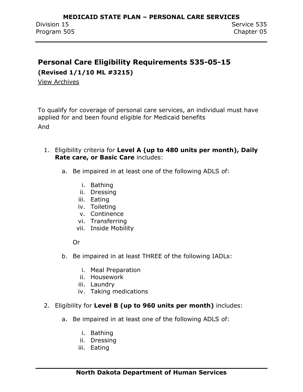## <span id="page-8-0"></span>**Personal Care Eligibility Requirements 535-05-15**

**(Revised 1/1/10 ML #3215)**

View Archives

To qualify for coverage of personal care services, an individual must have applied for and been found eligible for Medicaid benefits And

- 1. Eligibility criteria for **Level A (up to 480 units per month), Daily Rate care, or Basic Care** includes:
	- a. Be impaired in at least one of the following ADLS of:
		- i. Bathing
		- ii. Dressing
		- iii. Eating
		- iv. Toileting
		- v. Continence
		- vi. Transferring
		- vii. Inside Mobility

Or

- b. Be impaired in at least THREE of the following IADLs:
	- i. Meal Preparation
	- ii. Housework
	- iii. Laundry
	- iv. Taking medications

#### 2. Eligibility for **Level B (up to 960 units per month)** includes:

- a. Be impaired in at least one of the following ADLS of:
	- i. Bathing
	- ii. Dressing
	- iii. Eating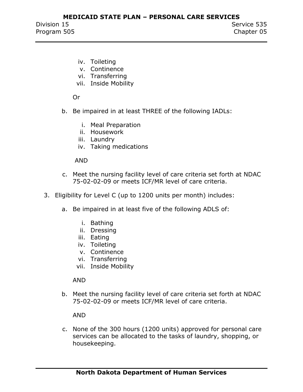- iv. Toileting
- v. Continence
- vi. Transferring
- vii. Inside Mobility

Or

- b. Be impaired in at least THREE of the following IADLs:
	- i. Meal Preparation
	- ii. Housework
	- iii. Laundry
	- iv. Taking medications

#### AND

- c. Meet the nursing facility level of care criteria set forth at NDAC 75-02-02-09 or meets ICF/MR level of care criteria.
- 3. Eligibility for Level C (up to 1200 units per month) includes:
	- a. Be impaired in at least five of the following ADLS of:
		- i. Bathing
		- ii. Dressing
		- iii. Eating
		- iv. Toileting
		- v. Continence
		- vi. Transferring
		- vii. Inside Mobility

AND

b. Meet the nursing facility level of care criteria set forth at NDAC 75-02-02-09 or meets ICF/MR level of care criteria.

AND

c. None of the 300 hours (1200 units) approved for personal care services can be allocated to the tasks of laundry, shopping, or housekeeping.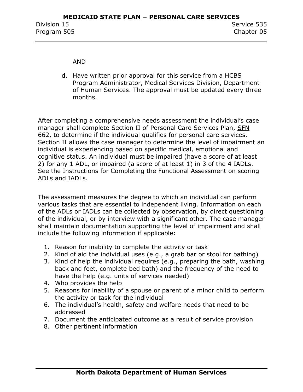#### AND

d. Have written prior approval for this service from a HCBS Program Administrator, Medical Services Division, Department of Human Services. The approval must be updated every three months.

After completing a comprehensive needs assessment the individual's case manager shall complete Section II of Personal Care Services Plan, SFN 662, to determine if the individual qualifies for personal care services. Section II allows the case manager to determine the level of impairment an individual is experiencing based on specific medical, emotional and cognitive status. An individual must be impaired (have a score of at least 2) for any 1 ADL, or impaired (a score of at least 1) in 3 of the 4 IADLs. See the Instructions for Completing the Functional Assessment on scoring ADLs and IADLs.

The assessment measures the degree to which an individual can perform various tasks that are essential to independent living. Information on each of the ADLs or IADLs can be collected by observation, by direct questioning of the individual, or by interview with a significant other. The case manager shall maintain documentation supporting the level of impairment and shall include the following information if applicable:

- 1. Reason for inability to complete the activity or task
- 2. Kind of aid the individual uses (e.g., a grab bar or stool for bathing)
- 3. Kind of help the individual requires (e.g., preparing the bath, washing back and feet, complete bed bath) and the frequency of the need to have the help (e.g. units of services needed)
- 4. Who provides the help
- 5. Reasons for inability of a spouse or parent of a minor child to perform the activity or task for the individual
- 6. The individual's health, safety and welfare needs that need to be addressed
- 7. Document the anticipated outcome as a result of service provision
- 8. Other pertinent information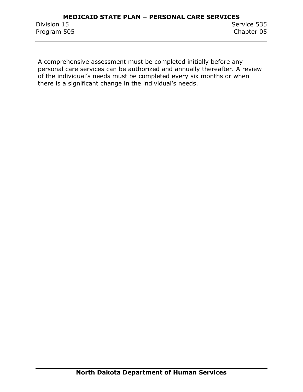A comprehensive assessment must be completed initially before any personal care services can be authorized and annually thereafter. A review of the individual's needs must be completed every six months or when there is a significant change in the individual's needs.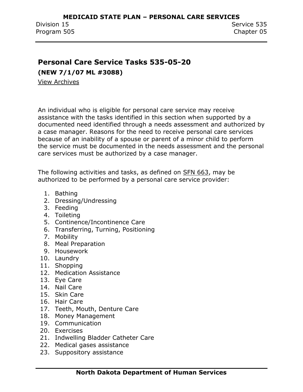## <span id="page-12-0"></span>**Personal Care Service Tasks 535-05-20**

**(NEW 7/1/07 ML #3088)**

View Archives

An individual who is eligible for personal care service may receive assistance with the tasks identified in this section when supported by a documented need identified through a needs assessment and authorized by a case manager. Reasons for the need to receive personal care services because of an inability of a spouse or parent of a minor child to perform the service must be documented in the needs assessment and the personal care services must be authorized by a case manager.

The following activities and tasks, as defined on SFN 663, may be authorized to be performed by a personal care service provider:

- 1. Bathing
- 2. Dressing/Undressing
- 3. Feeding
- 4. Toileting
- 5. Continence/Incontinence Care
- 6. Transferring, Turning, Positioning
- 7. Mobility
- 8. Meal Preparation
- 9. Housework
- 10. Laundry
- 11. Shopping
- 12. Medication Assistance
- 13. Eye Care
- 14. Nail Care
- 15. Skin Care
- 16. Hair Care
- 17. Teeth, Mouth, Denture Care
- 18. Money Management
- 19. Communication
- 20. Exercises
- 21. Indwelling Bladder Catheter Care
- 22. Medical gases assistance
- 23. Suppository assistance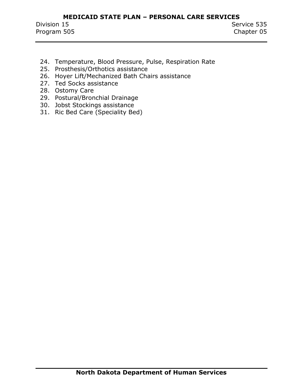- 24. Temperature, Blood Pressure, Pulse, Respiration Rate
- 25. Prosthesis/Orthotics assistance
- 26. Hoyer Lift/Mechanized Bath Chairs assistance
- 27. Ted Socks assistance
- 28. Ostomy Care
- 29. Postural/Bronchial Drainage
- 30. Jobst Stockings assistance
- 31. Ric Bed Care (Speciality Bed)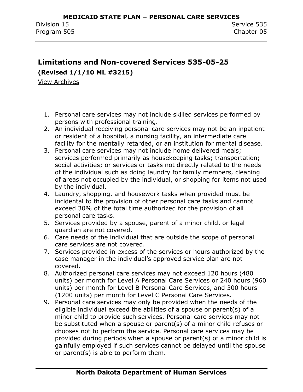## <span id="page-14-0"></span>**Limitations and Non-covered Services 535-05-25**

**(Revised 1/1/10 ML #3215)**

View Archives

- 1. Personal care services may not include skilled services performed by persons with professional training.
- 2. An individual receiving personal care services may not be an inpatient or resident of a hospital, a nursing facility, an intermediate care facility for the mentally retarded, or an institution for mental disease.
- 3. Personal care services may not include home delivered meals; services performed primarily as housekeeping tasks; transportation; social activities; or services or tasks not directly related to the needs of the individual such as doing laundry for family members, cleaning of areas not occupied by the individual, or shopping for items not used by the individual.
- 4. Laundry, shopping, and housework tasks when provided must be incidental to the provision of other personal care tasks and cannot exceed 30% of the total time authorized for the provision of all personal care tasks.
- 5. Services provided by a spouse, parent of a minor child, or legal guardian are not covered.
- 6. Care needs of the individual that are outside the scope of personal care services are not covered.
- 7. Services provided in excess of the services or hours authorized by the case manager in the individual's approved service plan are not covered.
- 8. Authorized personal care services may not exceed 120 hours (480 units) per month for Level A Personal Care Services or 240 hours (960 units) per month for Level B Personal Care Services, and 300 hours (1200 units) per month for Level C Personal Care Services.
- 9. Personal care services may only be provided when the needs of the eligible individual exceed the abilities of a spouse or parent(s) of a minor child to provide such services. Personal care services may not be substituted when a spouse or parent(s) of a minor child refuses or chooses not to perform the service. Personal care services may be provided during periods when a spouse or parent(s) of a minor child is gainfully employed if such services cannot be delayed until the spouse or parent(s) is able to perform them.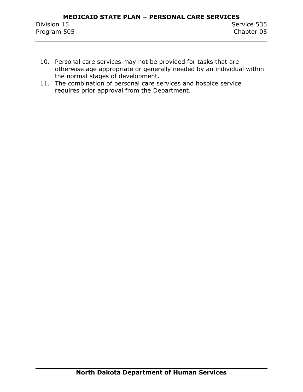- 10. Personal care services may not be provided for tasks that are otherwise age appropriate or generally needed by an individual within the normal stages of development.
- 11. The combination of personal care services and hospice service requires prior approval from the Department.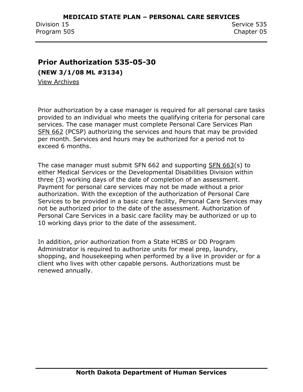### <span id="page-16-0"></span>**Prior Authorization 535-05-30**

**(NEW 3/1/08 ML #3134)**

View Archives

Prior authorization by a case manager is required for all personal care tasks provided to an individual who meets the qualifying criteria for personal care services. The case manager must complete Personal Care Services Plan SFN 662 (PCSP) authorizing the services and hours that may be provided per month. Services and hours may be authorized for a period not to exceed 6 months.

The case manager must submit SFN 662 and supporting SFN 663(s) to either Medical Services or the Developmental Disabilities Division within three (3) working days of the date of completion of an assessment. Payment for personal care services may not be made without a prior authorization. With the exception of the authorization of Personal Care Services to be provided in a basic care facility, Personal Care Services may not be authorized prior to the date of the assessment. Authorization of Personal Care Services in a basic care facility may be authorized or up to 10 working days prior to the date of the assessment.

In addition, prior authorization from a State HCBS or DD Program Administrator is required to authorize units for meal prep, laundry, shopping, and housekeeping when performed by a live in provider or for a client who lives with other capable persons. Authorizations must be renewed annually.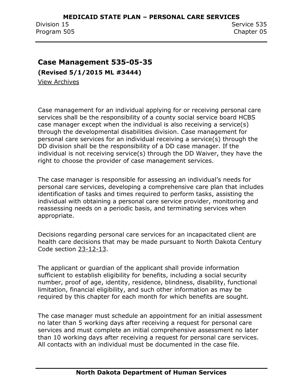### <span id="page-17-0"></span>**Case Management 535-05-35**

**(Revised 5/1/2015 ML #3444)**

View Archives

Case management for an individual applying for or receiving personal care services shall be the responsibility of a county social service board HCBS case manager except when the individual is also receiving a service(s) through the developmental disabilities division. Case management for personal care services for an individual receiving a service(s) through the DD division shall be the responsibility of a DD case manager. If the individual is not receiving service(s) through the DD Waiver, they have the right to choose the provider of case management services.

The case manager is responsible for assessing an individual's needs for personal care services, developing a comprehensive care plan that includes identification of tasks and times required to perform tasks, assisting the individual with obtaining a personal care service provider, monitoring and reassessing needs on a periodic basis, and terminating services when appropriate.

Decisions regarding personal care services for an incapacitated client are health care decisions that may be made pursuant to North Dakota Century Code section 23-12-13.

The applicant or guardian of the applicant shall provide information sufficient to establish eligibility for benefits, including a social security number, proof of age, identity, residence, blindness, disability, functional limitation, financial eligibility, and such other information as may be required by this chapter for each month for which benefits are sought.

The case manager must schedule an appointment for an initial assessment no later than 5 working days after receiving a request for personal care services and must complete an initial comprehensive assessment no later than 10 working days after receiving a request for personal care services. All contacts with an individual must be documented in the case file.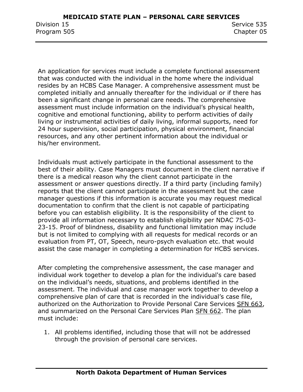An application for services must include a complete functional assessment that was conducted with the individual in the home where the individual resides by an HCBS Case Manager. A comprehensive assessment must be completed initially and annually thereafter for the individual or if there has been a significant change in personal care needs. The comprehensive assessment must include information on the individual's physical health, cognitive and emotional functioning, ability to perform activities of daily living or instrumental activities of daily living, informal supports, need for 24 hour supervision, social participation, physical environment, financial resources, and any other pertinent information about the individual or his/her environment.

Individuals must actively participate in the functional assessment to the best of their ability. Case Managers must document in the client narrative if there is a medical reason why the client cannot participate in the assessment or answer questions directly. If a third party (including family) reports that the client cannot participate in the assessment but the case manager questions if this information is accurate you may request medical documentation to confirm that the client is not capable of participating before you can establish eligibility. It is the responsibility of the client to provide all information necessary to establish eligibility per NDAC 75-03- 23-15. Proof of blindness, disability and functional limitation may include but is not limited to complying with all requests for medical records or an evaluation from PT, OT, Speech, neuro-psych evaluation etc. that would assist the case manager in completing a determination for HCBS services.

After completing the comprehensive assessment, the case manager and individual work together to develop a plan for the individual's care based on the individual's needs, situations, and problems identified in the assessment. The individual and case manager work together to develop a comprehensive plan of care that is recorded in the individual's case file, authorized on the Authorization to Provide Personal Care Services SFN 663, and summarized on the Personal Care Services Plan SFN 662. The plan must include:

1. All problems identified, including those that will not be addressed through the provision of personal care services.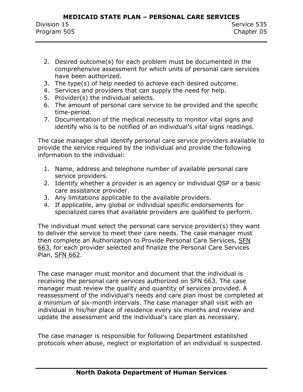- 2. Desired outcome(s) for each problem must be documented in the comprehensive assessment for which units of personal care services have been authorized.
- 3. The type(s) of help needed to achieve each desired outcome.
- 4. Services and providers that can supply the need for help.
- 5. Provider(s) the individual selects.
- 6. The amount of personal care service to be provided and the specific time-period.
- 7. Documentation of the medical necessity to monitor vital signs and identify who is to be notified of an individual's vital signs readings.

The case manager shall identify personal care service providers available to provide the service required by the individual and provide the following information to the individual:

- 1. Name, address and telephone number of available personal care service providers.
- 2. Identify whether a provider is an agency or individual QSP or a basic care assistance provider.
- 3. Any limitations applicable to the available providers.
- 4. If applicable, any global or individual specific endorsements for specialized cares that available providers are qualified to perform.

The individual must select the personal care service provider(s) they want to deliver the service to meet their care needs. The case manager must then complete an Authorization to Provide Personal Care Services, SFN 663, for each provider selected and finalize the Personal Care Services Plan, SFN 662.

The case manager must monitor and document that the individual is receiving the personal care services authorized on SFN 663. The case manager must review the quality and quantity of services provided. A reassessment of the individual's needs and care plan must be completed at a minimum of six-month intervals. The case manager shall visit with an individual in his/her place of residence every six months and review and update the assessment and the individual's care plan as necessary.

The case manager is responsible for following Department established protocols when abuse, neglect or exploitation of an individual is suspected.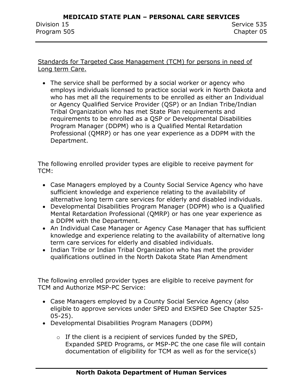Standards for Targeted Case Management (TCM) for persons in need of Long term Care.

 The service shall be performed by a social worker or agency who employs individuals licensed to practice social work in North Dakota and who has met all the requirements to be enrolled as either an Individual or Agency Qualified Service Provider (QSP) or an Indian Tribe/Indian Tribal Organization who has met State Plan requirements and requirements to be enrolled as a QSP or Developmental Disabilities Program Manager (DDPM) who is a Qualified Mental Retardation Professional (QMRP) or has one year experience as a DDPM with the Department.

The following enrolled provider types are eligible to receive payment for TCM:

- Case Managers employed by a County Social Service Agency who have sufficient knowledge and experience relating to the availability of alternative long term care services for elderly and disabled individuals.
- Developmental Disabilities Program Manager (DDPM) who is a Qualified Mental Retardation Professional (QMRP) or has one year experience as a DDPM with the Department.
- An Individual Case Manager or Agency Case Manager that has sufficient knowledge and experience relating to the availability of alternative long term care services for elderly and disabled individuals.
- Indian Tribe or Indian Tribal Organization who has met the provider qualifications outlined in the North Dakota State Plan Amendment

The following enrolled provider types are eligible to receive payment for TCM and Authorize MSP-PC Service:

- Case Managers employed by a County Social Service Agency (also eligible to approve services under SPED and EXSPED See Chapter 525- 05-25).
- Developmental Disabilities Program Managers (DDPM)
	- $\circ$  If the client is a recipient of services funded by the SPED, Expanded SPED Programs, or MSP-PC the one case file will contain documentation of eligibility for TCM as well as for the service(s)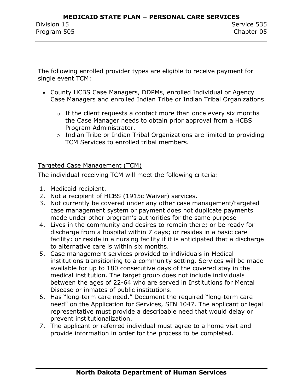The following enrolled provider types are eligible to receive payment for single event TCM:

- County HCBS Case Managers, DDPMs, enrolled Individual or Agency Case Managers and enrolled Indian Tribe or Indian Tribal Organizations.
	- $\circ$  If the client requests a contact more than once every six months the Case Manager needs to obtain prior approval from a HCBS Program Administrator.
	- o Indian Tribe or Indian Tribal Organizations are limited to providing TCM Services to enrolled tribal members.

#### Targeted Case Management (TCM)

The individual receiving TCM will meet the following criteria:

- 1. Medicaid recipient.
- 2. Not a recipient of HCBS (1915c Waiver) services.
- 3. Not currently be covered under any other case management/targeted case management system or payment does not duplicate payments made under other program's authorities for the same purpose
- 4. Lives in the community and desires to remain there; or be ready for discharge from a hospital within 7 days; or resides in a basic care facility; or reside in a nursing facility if it is anticipated that a discharge to alternative care is within six months.
- 5. Case management services provided to individuals in Medical institutions transitioning to a community setting. Services will be made available for up to 180 consecutive days of the covered stay in the medical institution. The target group does not include individuals between the ages of 22-64 who are served in Institutions for Mental Disease or inmates of public institutions.
- 6. Has "long-term care need." Document the required "long-term care need" on the Application for Services, SFN 1047. The applicant or legal representative must provide a describable need that would delay or prevent institutionalization.
- 7. The applicant or referred individual must agree to a home visit and provide information in order for the process to be completed.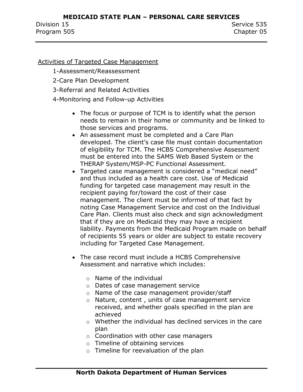#### Activities of Targeted Case Management

1-Assessment/Reassessment

- 2-Care Plan Development
- 3-Referral and Related Activities
- 4-Monitoring and Follow-up Activities
	- The focus or purpose of TCM is to identify what the person needs to remain in their home or community and be linked to those services and programs.
	- An assessment must be completed and a Care Plan developed. The client's case file must contain documentation of eligibility for TCM. The HCBS Comprehensive Assessment must be entered into the SAMS Web Based System or the THERAP System/MSP-PC Functional Assessment.
	- Targeted case management is considered a "medical need" and thus included as a health care cost. Use of Medicaid funding for targeted case management may result in the recipient paying for/toward the cost of their case management. The client must be informed of that fact by noting Case Management Service and cost on the Individual Care Plan. Clients must also check and sign acknowledgment that if they are on Medicaid they may have a recipient liability. Payments from the Medicaid Program made on behalf of recipients 55 years or older are subject to estate recovery including for Targeted Case Management.
	- The case record must include a HCBS Comprehensive Assessment and narrative which includes:
		- o Name of the individual
		- o Dates of case management service
		- o Name of the case management provider/staff
		- o Nature, content , units of case management service received, and whether goals specified in the plan are achieved
		- o Whether the individual has declined services in the care plan
		- o Coordination with other case managers
		- o Timeline of obtaining services
		- o Timeline for reevaluation of the plan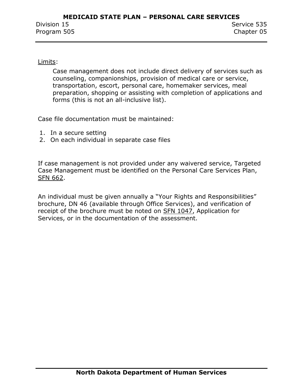#### Limits:

Case management does not include direct delivery of services such as counseling, companionships, provision of medical care or service, transportation, escort, personal care, homemaker services, meal preparation, shopping or assisting with completion of applications and forms (this is not an all-inclusive list).

Case file documentation must be maintained:

- 1. In a secure setting
- 2. On each individual in separate case files

If case management is not provided under any waivered service, Targeted Case Management must be identified on the Personal Care Services Plan, SFN 662.

An individual must be given annually a "Your Rights and Responsibilities" brochure, DN 46 (available through Office Services), and verification of receipt of the brochure must be noted on SFN 1047, Application for Services, or in the documentation of the assessment.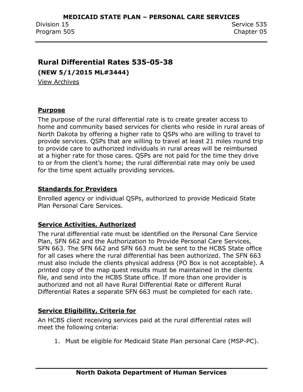### <span id="page-24-0"></span>**Rural Differential Rates 535-05-38**

**(NEW 5/1/2015 ML#3444)**

View Archives

#### **Purpose**

The purpose of the rural differential rate is to create greater access to home and community based services for clients who reside in rural areas of North Dakota by offering a higher rate to QSPs who are willing to travel to provide services. QSPs that are willing to travel at least 21 miles round trip to provide care to authorized individuals in rural areas will be reimbursed at a higher rate for those cares. QSPs are not paid for the time they drive to or from the client's home; the rural differential rate may only be used for the time spent actually providing services.

#### **Standards for Providers**

Enrolled agency or individual QSPs, authorized to provide Medicaid State Plan Personal Care Services.

#### **Service Activities, Authorized**

The rural differential rate must be identified on the Personal Care Service Plan, SFN 662 and the Authorization to Provide Personal Care Services, SFN 663. The SFN 662 and SFN 663 must be sent to the HCBS State office for all cases where the rural differential has been authorized. The SFN 663 must also include the clients physical address (PO Box is not acceptable). A printed copy of the map quest results must be maintained in the clients file, and send into the HCBS State office. If more than one provider is authorized and not all have Rural Differential Rate or different Rural Differential Rates a separate SFN 663 must be completed for each rate.

#### **Service Eligibility, Criteria for**

An HCBS client receiving services paid at the rural differential rates will meet the following criteria:

1. Must be eligible for Medicaid State Plan personal Care (MSP-PC).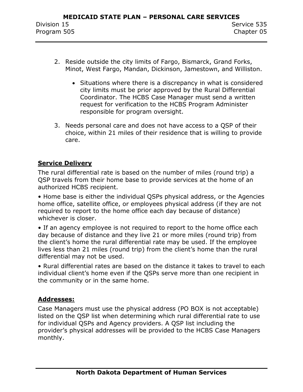- 2. Reside outside the city limits of Fargo, Bismarck, Grand Forks, Minot, West Fargo, Mandan, Dickinson, Jamestown, and Williston.
	- Situations where there is a discrepancy in what is considered city limits must be prior approved by the Rural Differential Coordinator. The HCBS Case Manager must send a written request for verification to the HCBS Program Administer responsible for program oversight.
- 3. Needs personal care and does not have access to a QSP of their choice, within 21 miles of their residence that is willing to provide care.

#### **Service Delivery**

The rural differential rate is based on the number of miles (round trip) a QSP travels from their home base to provide services at the home of an authorized HCBS recipient.

• Home base is either the individual QSPs physical address, or the Agencies home office, satellite office, or employees physical address (if they are not required to report to the home office each day because of distance) whichever is closer.

• If an agency employee is not required to report to the home office each day because of distance and they live 21 or more miles (round trip) from the client's home the rural differential rate may be used. If the employee lives less than 21 miles (round trip) from the client's home than the rural differential may not be used.

• Rural differential rates are based on the distance it takes to travel to each individual client's home even if the QSPs serve more than one recipient in the community or in the same home.

#### **Addresses:**

Case Managers must use the physical address (PO BOX is not acceptable) listed on the QSP list when determining which rural differential rate to use for individual QSPs and Agency providers. A QSP list including the provider's physical addresses will be provided to the HCBS Case Managers monthly.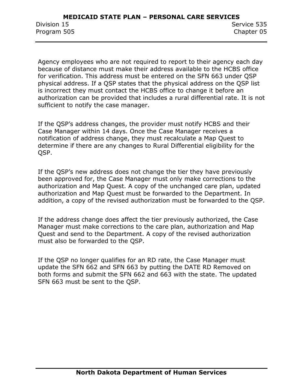Agency employees who are not required to report to their agency each day because of distance must make their address available to the HCBS office for verification. This address must be entered on the SFN 663 under QSP physical address. If a QSP states that the physical address on the QSP list is incorrect they must contact the HCBS office to change it before an authorization can be provided that includes a rural differential rate. It is not sufficient to notify the case manager.

If the QSP's address changes, the provider must notify HCBS and their Case Manager within 14 days. Once the Case Manager receives a notification of address change, they must recalculate a Map Quest to determine if there are any changes to Rural Differential eligibility for the QSP.

If the QSP's new address does not change the tier they have previously been approved for, the Case Manager must only make corrections to the authorization and Map Quest. A copy of the unchanged care plan, updated authorization and Map Quest must be forwarded to the Department. In addition, a copy of the revised authorization must be forwarded to the QSP.

If the address change does affect the tier previously authorized, the Case Manager must make corrections to the care plan, authorization and Map Quest and send to the Department. A copy of the revised authorization must also be forwarded to the QSP.

If the QSP no longer qualifies for an RD rate, the Case Manager must update the SFN 662 and SFN 663 by putting the DATE RD Removed on both forms and submit the SFN 662 and 663 with the state. The updated SFN 663 must be sent to the QSP.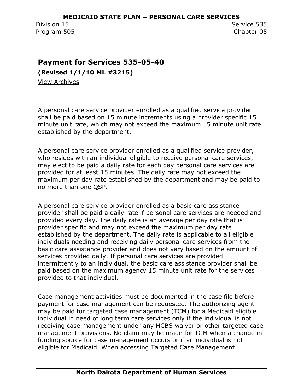### <span id="page-27-0"></span>**Payment for Services 535-05-40**

**(Revised 1/1/10 ML #3215)**

View Archives

A personal care service provider enrolled as a qualified service provider shall be paid based on 15 minute increments using a provider specific 15 minute unit rate, which may not exceed the maximum 15 minute unit rate established by the department.

A personal care service provider enrolled as a qualified service provider, who resides with an individual eligible to receive personal care services, may elect to be paid a daily rate for each day personal care services are provided for at least 15 minutes. The daily rate may not exceed the maximum per day rate established by the department and may be paid to no more than one QSP.

A personal care service provider enrolled as a basic care assistance provider shall be paid a daily rate if personal care services are needed and provided every day. The daily rate is an average per day rate that is provider specific and may not exceed the maximum per day rate established by the department. The daily rate is applicable to all eligible individuals needing and receiving daily personal care services from the basic care assistance provider and does not vary based on the amount of services provided daily. If personal care services are provided intermittently to an individual, the basic care assistance provider shall be paid based on the maximum agency 15 minute unit rate for the services provided to that individual.

Case management activities must be documented in the case file before payment for case management can be requested. The authorizing agent may be paid for targeted case management (TCM) for a Medicaid eligible individual in need of long term care services only if the individual is not receiving case management under any HCBS waiver or other targeted case management provisions. No claim may be made for TCM when a change in funding source for case management occurs or if an individual is not eligible for Medicaid. When accessing Targeted Case Management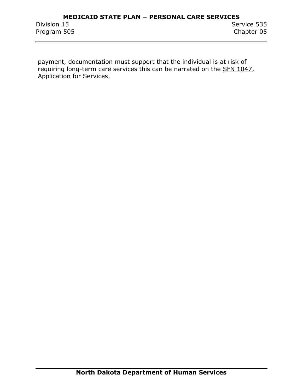payment, documentation must support that the individual is at risk of requiring long-term care services this can be narrated on the SFN 1047, Application for Services.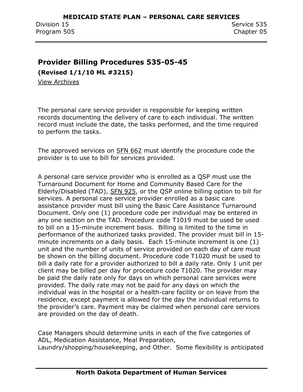## <span id="page-29-0"></span>**Provider Billing Procedures 535-05-45**

**(Revised 1/1/10 ML #3215)**

View Archives

The personal care service provider is responsible for keeping written records documenting the delivery of care to each individual. The written record must include the date, the tasks performed, and the time required to perform the tasks.

The approved services on SFN 662 must identify the procedure code the provider is to use to bill for services provided.

A personal care service provider who is enrolled as a QSP must use the Turnaround Document for Home and Community Based Care for the Elderly/Disabled (TAD), SFN 925, or the QSP online billing option to bill for services. A personal care service provider enrolled as a basic care assistance provider must bill using the Basic Care Assistance Turnaround Document. Only one (1) procedure code per individual may be entered in any one section on the TAD. Procedure code T1019 must be used be used to bill on a 15-minute increment basis. Billing is limited to the time in performance of the authorized tasks provided. The provider must bill in 15 minute increments on a daily basis. Each 15-minute increment is one (1) unit and the number of units of service provided on each day of care must be shown on the billing document. Procedure code T1020 must be used to bill a daily rate for a provider authorized to bill a daily rate. Only 1 unit per client may be billed per day for procedure code T1020. The provider may be paid the daily rate only for days on which personal care services were provided. The daily rate may not be paid for any days on which the individual was in the hospital or a health-care facility or on leave from the residence, except payment is allowed for the day the individual returns to the provider's care. Payment may be claimed when personal care services are provided on the day of death.

Case Managers should determine units in each of the five categories of ADL, Medication Assistance, Meal Preparation, Laundry/shopping/housekeeping, and Other. Some flexibility is anticipated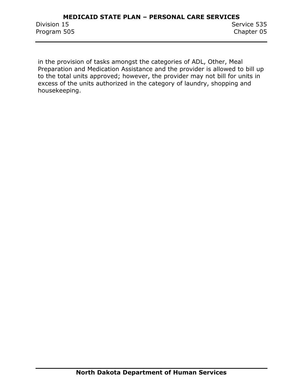in the provision of tasks amongst the categories of ADL, Other, Meal Preparation and Medication Assistance and the provider is allowed to bill up to the total units approved; however, the provider may not bill for units in excess of the units authorized in the category of laundry, shopping and housekeeping.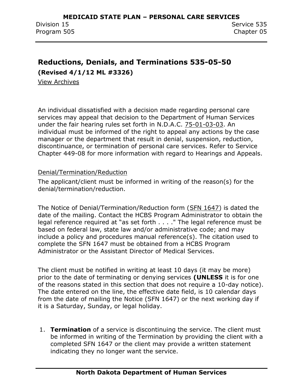## <span id="page-31-0"></span>**Reductions, Denials, and Terminations 535-05-50 (Revised 4/1/12 ML #3326)**

View Archives

An individual dissatisfied with a decision made regarding personal care services may appeal that decision to the Department of Human Services under the fair hearing rules set forth in N.D.A.C. 75-01-03-03. An individual must be informed of the right to appeal any actions by the case manager or the department that result in denial, suspension, reduction, discontinuance, or termination of personal care services. Refer to Service Chapter 449-08 for more information with regard to Hearings and Appeals.

#### Denial/Termination/Reduction

The applicant/client must be informed in writing of the reason(s) for the denial/termination/reduction.

The Notice of Denial/Termination/Reduction form (SFN 1647) is dated the date of the mailing. Contact the HCBS Program Administrator to obtain the legal reference required at "as set forth . . . . " The legal reference must be based on federal law, state law and/or administrative code; and may include a policy and procedures manual reference(s). The citation used to complete the SFN 1647 must be obtained from a HCBS Program Administrator or the Assistant Director of Medical Services.

The client must be notified in writing at least 10 days (it may be more) prior to the date of terminating or denying services **(UNLESS** it is for one of the reasons stated in this section that does not require a 10-day notice). The date entered on the line, the effective date field, is 10 calendar days from the date of mailing the Notice (SFN 1647) or the next working day if it is a Saturday, Sunday, or legal holiday.

1. **Termination** of a service is discontinuing the service. The client must be informed in writing of the Termination by providing the client with a completed SFN 1647 or the client may provide a written statement indicating they no longer want the service.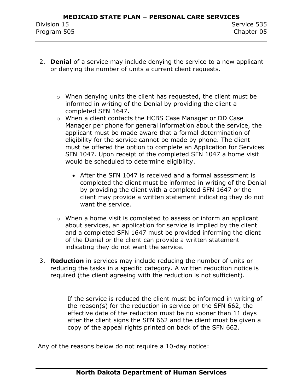- 2. **Denial** of a service may include denying the service to a new applicant or denying the number of units a current client requests.
	- o When denying units the client has requested, the client must be informed in writing of the Denial by providing the client a completed SFN 1647.
	- o When a client contacts the HCBS Case Manager or DD Case Manager per phone for general information about the service, the applicant must be made aware that a formal determination of eligibility for the service cannot be made by phone. The client must be offered the option to complete an Application for Services SFN 1047. Upon receipt of the completed SFN 1047 a home visit would be scheduled to determine eligibility.
		- After the SFN 1047 is received and a formal assessment is completed the client must be informed in writing of the Denial by providing the client with a completed SFN 1647 or the client may provide a written statement indicating they do not want the service.
	- o When a home visit is completed to assess or inform an applicant about services, an application for service is implied by the client and a completed SFN 1647 must be provided informing the client of the Denial or the client can provide a written statement indicating they do not want the service.
- 3. **Reduction** in services may include reducing the number of units or reducing the tasks in a specific category. A written reduction notice is required (the client agreeing with the reduction is not sufficient).

If the service is reduced the client must be informed in writing of the reason(s) for the reduction in service on the SFN 662, the effective date of the reduction must be no sooner than 11 days after the client signs the SFN 662 and the client must be given a copy of the appeal rights printed on back of the SFN 662.

Any of the reasons below do not require a 10-day notice: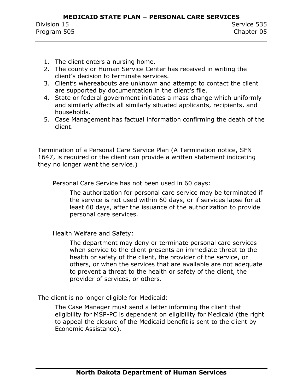- 1. The client enters a nursing home.
- 2. The county or Human Service Center has received in writing the client's decision to terminate services.
- 3. Client's whereabouts are unknown and attempt to contact the client are supported by documentation in the client's file.
- 4. State or federal government initiates a mass change which uniformly and similarly affects all similarly situated applicants, recipients, and households.
- 5. Case Management has factual information confirming the death of the client.

Termination of a Personal Care Service Plan (A Termination notice, SFN 1647, is required or the client can provide a written statement indicating they no longer want the service.)

Personal Care Service has not been used in 60 days:

The authorization for personal care service may be terminated if the service is not used within 60 days, or if services lapse for at least 60 days, after the issuance of the authorization to provide personal care services.

Health Welfare and Safety:

The department may deny or terminate personal care services when service to the client presents an immediate threat to the health or safety of the client, the provider of the service, or others, or when the services that are available are not adequate to prevent a threat to the health or safety of the client, the provider of services, or others.

The client is no longer eligible for Medicaid:

The Case Manager must send a letter informing the client that eligibility for MSP-PC is dependent on eligibility for Medicaid (the right to appeal the closure of the Medicaid benefit is sent to the client by Economic Assistance).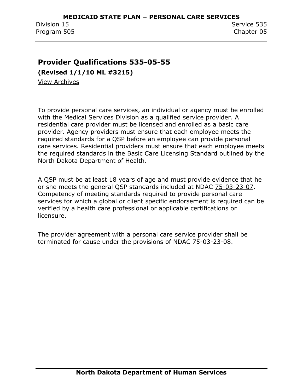## <span id="page-34-0"></span>**Provider Qualifications 535-05-55**

**(Revised 1/1/10 ML #3215)**

View Archives

To provide personal care services, an individual or agency must be enrolled with the Medical Services Division as a qualified service provider. A residential care provider must be licensed and enrolled as a basic care provider. Agency providers must ensure that each employee meets the required standards for a QSP before an employee can provide personal care services. Residential providers must ensure that each employee meets the required standards in the Basic Care Licensing Standard outlined by the North Dakota Department of Health.

A QSP must be at least 18 years of age and must provide evidence that he or she meets the general QSP standards included at NDAC 75-03-23-07. Competency of meeting standards required to provide personal care services for which a global or client specific endorsement is required can be verified by a health care professional or applicable certifications or licensure.

The provider agreement with a personal care service provider shall be terminated for cause under the provisions of NDAC 75-03-23-08.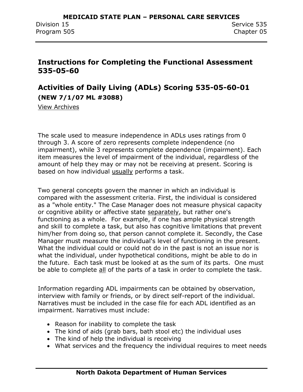## <span id="page-35-0"></span>**Instructions for Completing the Functional Assessment 535-05-60**

## <span id="page-35-1"></span>**Activities of Daily Living (ADLs) Scoring 535-05-60-01 (NEW 7/1/07 ML #3088)**

View Archives

The scale used to measure independence in ADLs uses ratings from 0 through 3. A score of zero represents complete independence (no impairment), while 3 represents complete dependence (impairment). Each item measures the level of impairment of the individual, regardless of the amount of help they may or may not be receiving at present. Scoring is based on how individual usually performs a task.

Two general concepts govern the manner in which an individual is compared with the assessment criteria. First, the individual is considered as a "whole entity." The Case Manager does not measure physical capacity or cognitive ability or affective state separately, but rather one's functioning as a whole. For example, if one has ample physical strength and skill to complete a task, but also has cognitive limitations that prevent him/her from doing so, that person cannot complete it. Secondly, the Case Manager must measure the individual's level of functioning in the present. What the individual could or could not do in the past is not an issue nor is what the individual, under hypothetical conditions, might be able to do in the future. Each task must be looked at as the sum of its parts. One must be able to complete all of the parts of a task in order to complete the task.

Information regarding ADL impairments can be obtained by observation, interview with family or friends, or by direct self-report of the individual. Narratives must be included in the case file for each ADL identified as an impairment. Narratives must include:

- Reason for inability to complete the task
- The kind of aids (grab bars, bath stool etc) the individual uses
- The kind of help the individual is receiving
- What services and the frequency the individual requires to meet needs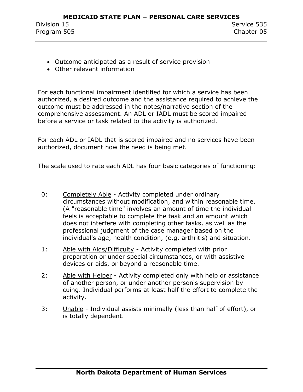- Outcome anticipated as a result of service provision
- Other relevant information

For each functional impairment identified for which a service has been authorized, a desired outcome and the assistance required to achieve the outcome must be addressed in the notes/narrative section of the comprehensive assessment. An ADL or IADL must be scored impaired before a service or task related to the activity is authorized.

For each ADL or IADL that is scored impaired and no services have been authorized, document how the need is being met.

The scale used to rate each ADL has four basic categories of functioning:

- 0: Completely Able Activity completed under ordinary circumstances without modification, and within reasonable time. (A "reasonable time" involves an amount of time the individual feels is acceptable to complete the task and an amount which does not interfere with completing other tasks, as well as the professional judgment of the case manager based on the individual's age, health condition, (e.g. arthritis) and situation.
- 1: Able with Aids/Difficulty Activity completed with prior preparation or under special circumstances, or with assistive devices or aids, or beyond a reasonable time.
- 2: Able with Helper Activity completed only with help or assistance of another person, or under another person's supervision by cuing. Individual performs at least half the effort to complete the activity.
- 3: Unable Individual assists minimally (less than half of effort), or is totally dependent.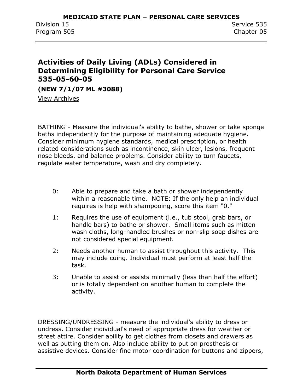## <span id="page-37-0"></span>**Activities of Daily Living (ADLs) Considered in Determining Eligibility for Personal Care Service 535-05-60-05**

**(NEW 7/1/07 ML #3088)**

View Archives

BATHING - Measure the individual's ability to bathe, shower or take sponge baths independently for the purpose of maintaining adequate hygiene. Consider minimum hygiene standards, medical prescription, or health related considerations such as incontinence, skin ulcer, lesions, frequent nose bleeds, and balance problems. Consider ability to turn faucets, regulate water temperature, wash and dry completely.

- 0: Able to prepare and take a bath or shower independently within a reasonable time. NOTE: If the only help an individual requires is help with shampooing, score this item "0."
- 1: Requires the use of equipment (i.e., tub stool, grab bars, or handle bars) to bathe or shower. Small items such as mitten wash cloths, long-handled brushes or non-slip soap dishes are not considered special equipment.
- 2: Needs another human to assist throughout this activity. This may include cuing. Individual must perform at least half the task.
- 3: Unable to assist or assists minimally (less than half the effort) or is totally dependent on another human to complete the activity.

DRESSING/UNDRESSING - measure the individual's ability to dress or undress. Consider individual's need of appropriate dress for weather or street attire. Consider ability to get clothes from closets and drawers as well as putting them on. Also include ability to put on prosthesis or assistive devices. Consider fine motor coordination for buttons and zippers,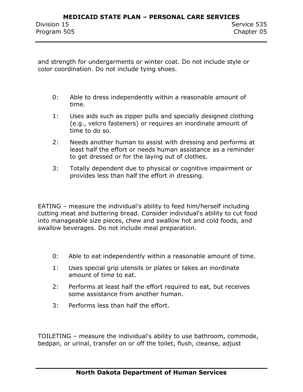and strength for undergarments or winter coat. Do not include style or color coordination. Do not include tying shoes.

- 0: Able to dress independently within a reasonable amount of time.
- 1: Uses aids such as zipper pulls and specially designed clothing (e.g., velcro fasteners) or requires an inordinate amount of time to do so.
- 2: Needs another human to assist with dressing and performs at least half the effort or needs human assistance as a reminder to get dressed or for the laying out of clothes.
- 3: Totally dependent due to physical or cognitive impairment or provides less than half the effort in dressing.

EATING – measure the individual's ability to feed him/herself including cutting meat and buttering bread. Consider individual's ability to cut food into manageable size pieces, chew and swallow hot and cold foods, and swallow beverages. Do not include meal preparation.

- 0: Able to eat independently within a reasonable amount of time.
- 1: Uses special grip utensils or plates or takes an inordinate amount of time to eat.
- 2: Performs at least half the effort required to eat, but receives some assistance from another human.
- 3: Performs less than half the effort.

TOILETING – measure the individual's ability to use bathroom, commode, bedpan, or urinal, transfer on or off the toilet, flush, cleanse, adjust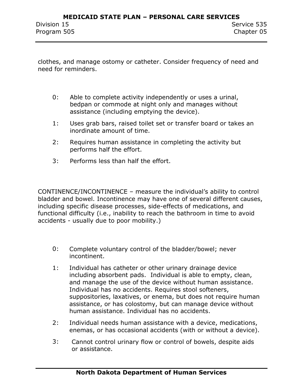clothes, and manage ostomy or catheter. Consider frequency of need and need for reminders.

- 0: Able to complete activity independently or uses a urinal, bedpan or commode at night only and manages without assistance (including emptying the device).
- 1: Uses grab bars, raised toilet set or transfer board or takes an inordinate amount of time.
- 2: Requires human assistance in completing the activity but performs half the effort.
- 3: Performs less than half the effort.

CONTINENCE/INCONTINENCE – measure the individual's ability to control bladder and bowel. Incontinence may have one of several different causes, including specific disease processes, side-effects of medications, and functional difficulty (i.e., inability to reach the bathroom in time to avoid accidents - usually due to poor mobility.)

- 0: Complete voluntary control of the bladder/bowel; never incontinent.
- 1: Individual has catheter or other urinary drainage device including absorbent pads. Individual is able to empty, clean, and manage the use of the device without human assistance. Individual has no accidents. Requires stool softeners, suppositories, laxatives, or enema, but does not require human assistance, or has colostomy, but can manage device without human assistance. Individual has no accidents.
- 2: Individual needs human assistance with a device, medications, enemas, or has occasional accidents (with or without a device).
- 3: Cannot control urinary flow or control of bowels, despite aids or assistance.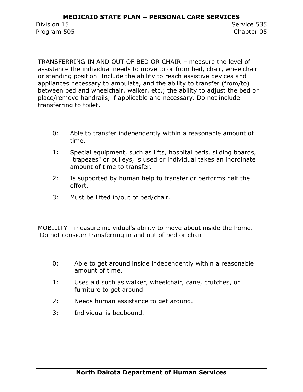TRANSFERRING IN AND OUT OF BED OR CHAIR – measure the level of assistance the individual needs to move to or from bed, chair, wheelchair or standing position. Include the ability to reach assistive devices and appliances necessary to ambulate, and the ability to transfer (from/to) between bed and wheelchair, walker, etc.; the ability to adjust the bed or place/remove handrails, if applicable and necessary. Do not include transferring to toilet.

- 0: Able to transfer independently within a reasonable amount of time.
- 1: Special equipment, such as lifts, hospital beds, sliding boards, "trapezes" or pulleys, is used or individual takes an inordinate amount of time to transfer.
- 2: Is supported by human help to transfer or performs half the effort.
- 3: Must be lifted in/out of bed/chair.

MOBILITY - measure individual's ability to move about inside the home. Do not consider transferring in and out of bed or chair.

- 0: Able to get around inside independently within a reasonable amount of time.
- 1: Uses aid such as walker, wheelchair, cane, crutches, or furniture to get around.
- 2: Needs human assistance to get around.
- 3: Individual is bedbound.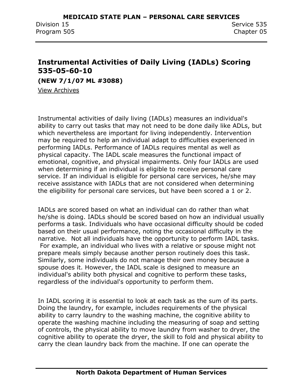## <span id="page-41-0"></span>**Instrumental Activities of Daily Living (IADLs) Scoring 535-05-60-10**

**(NEW 7/1/07 ML #3088)**

[View Archives](../../../Content/Archives.htm#535_05_60_10)

Instrumental activities of daily living (IADLs) measures an individual's ability to carry out tasks that may not need to be done daily like ADLs, but which nevertheless are important for living independently. Intervention may be required to help an individual adapt to difficulties experienced in performing IADLs. Performance of IADLs requires mental as well as physical capacity. The IADL scale measures the functional impact of emotional, cognitive, and physical impairments. Only four IADLs are used when determining if an individual is eligible to receive personal care service. If an individual is eligible for personal care services, he/she may receive assistance with IADLs that are not considered when determining the eligibility for personal care services, but have been scored a 1 or 2.

IADLs are scored based on what an individual can do rather than what he/she is doing. IADLs should be scored based on how an individual usually performs a task. Individuals who have occasional difficulty should be coded based on their usual performance, noting the occasional difficulty in the narrative. Not all individuals have the opportunity to perform IADL tasks. For example, an individual who lives with a relative or spouse might not prepare meals simply because another person routinely does this task. Similarly, some individuals do not manage their own money because a spouse does it. However, the IADL scale is designed to measure an individual's ability both physical and cognitive to perform these tasks, regardless of the individual's opportunity to perform them.

In IADL scoring it is essential to look at each task as the sum of its parts. Doing the laundry, for example, includes requirements of the physical ability to carry laundry to the washing machine, the cognitive ability to operate the washing machine including the measuring of soap and setting of controls, the physical ability to move laundry from washer to dryer, the cognitive ability to operate the dryer, the skill to fold and physical ability to carry the clean laundry back from the machine. If one can operate the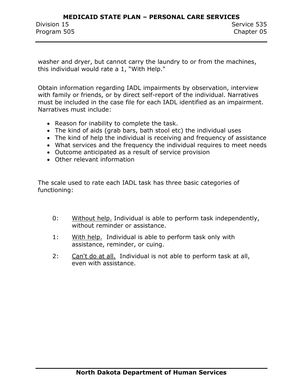washer and dryer, but cannot carry the laundry to or from the machines, this individual would rate a 1, "With Help."

Obtain information regarding IADL impairments by observation, interview with family or friends, or by direct self-report of the individual. Narratives must be included in the case file for each IADL identified as an impairment. Narratives must include:

- Reason for inability to complete the task.
- The kind of aids (grab bars, bath stool etc) the individual uses
- The kind of help the individual is receiving and frequency of assistance
- What services and the frequency the individual requires to meet needs
- Outcome anticipated as a result of service provision
- Other relevant information

The scale used to rate each IADL task has three basic categories of functioning:

- 0: Without help. Individual is able to perform task independently, without reminder or assistance.
- 1: With help. Individual is able to perform task only with assistance, reminder, or cuing.
- 2: Can't do at all. Individual is not able to perform task at all, even with assistance.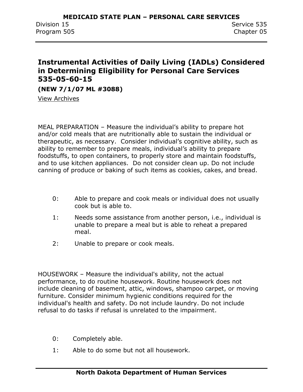## <span id="page-43-0"></span>**Instrumental Activities of Daily Living (IADLs) Considered in Determining Eligibility for Personal Care Services 535-05-60-15**

**(NEW 7/1/07 ML #3088)**

View Archives

MEAL PREPARATION – Measure the individual's ability to prepare hot and/or cold meals that are nutritionally able to sustain the individual or therapeutic, as necessary. Consider individual's cognitive ability, such as ability to remember to prepare meals, individual's ability to prepare foodstuffs, to open containers, to properly store and maintain foodstuffs, and to use kitchen appliances. Do not consider clean up. Do not include canning of produce or baking of such items as cookies, cakes, and bread.

- 0: Able to prepare and cook meals or individual does not usually cook but is able to.
- 1: Needs some assistance from another person, i.e., individual is unable to prepare a meal but is able to reheat a prepared meal.
- 2: Unable to prepare or cook meals.

HOUSEWORK – Measure the individual's ability, not the actual performance, to do routine housework. Routine housework does not include cleaning of basement, attic, windows, shampoo carpet, or moving furniture. Consider minimum hygienic conditions required for the individual's health and safety. Do not include laundry. Do not include refusal to do tasks if refusal is unrelated to the impairment.

- 0: Completely able.
- 1: Able to do some but not all housework.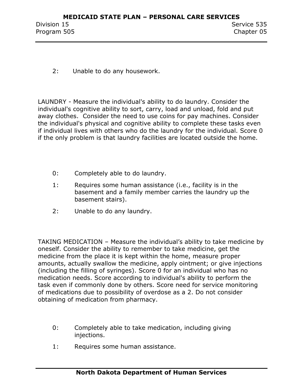2: Unable to do any housework.

LAUNDRY - Measure the individual's ability to do laundry. Consider the individual's cognitive ability to sort, carry, load and unload, fold and put away clothes. Consider the need to use coins for pay machines. Consider the individual's physical and cognitive ability to complete these tasks even if individual lives with others who do the laundry for the individual. Score 0 if the only problem is that laundry facilities are located outside the home.

- 0: Completely able to do laundry.
- 1: Requires some human assistance (i.e., facility is in the basement and a family member carries the laundry up the basement stairs).
- 2: Unable to do any laundry.

TAKING MEDICATION – Measure the individual's ability to take medicine by oneself. Consider the ability to remember to take medicine, get the medicine from the place it is kept within the home, measure proper amounts, actually swallow the medicine, apply ointment; or give injections (including the filling of syringes). Score 0 for an individual who has no medication needs. Score according to individual's ability to perform the task even if commonly done by others. Score need for service monitoring of medications due to possibility of overdose as a 2. Do not consider obtaining of medication from pharmacy.

- 0: Completely able to take medication, including giving injections.
- 1: Requires some human assistance.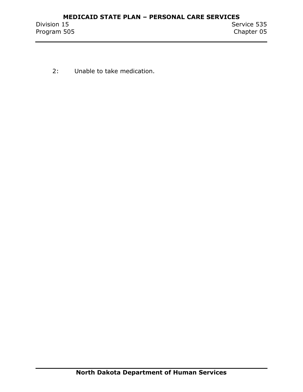2: Unable to take medication.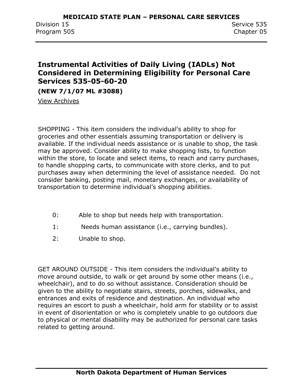## <span id="page-46-0"></span>**Instrumental Activities of Daily Living (IADLs) Not Considered in Determining Eligibility for Personal Care Services 535-05-60-20**

**(NEW 7/1/07 ML #3088)**

View Archives

SHOPPING - This item considers the individual's ability to shop for groceries and other essentials assuming transportation or delivery is available. If the individual needs assistance or is unable to shop, the task may be approved. Consider ability to make shopping lists, to function within the store, to locate and select items, to reach and carry purchases, to handle shopping carts, to communicate with store clerks, and to put purchases away when determining the level of assistance needed. Do not consider banking, posting mail, monetary exchanges, or availability of transportation to determine individual's shopping abilities.

- 0: Able to shop but needs help with transportation.
- 1: Needs human assistance (i.e., carrying bundles).
- 2: Unable to shop.

GET AROUND OUTSIDE - This item considers the individual's ability to move around outside, to walk or get around by some other means (i.e., wheelchair), and to do so without assistance. Consideration should be given to the ability to negotiate stairs, streets, porches, sidewalks, and entrances and exits of residence and destination. An individual who requires an escort to push a wheelchair, hold arm for stability or to assist in event of disorientation or who is completely unable to go outdoors due to physical or mental disability may be authorized for personal care tasks related to getting around.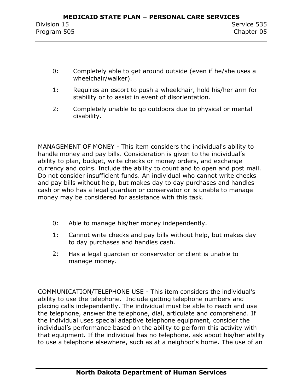- 0: Completely able to get around outside (even if he/she uses a wheelchair/walker).
- 1: Requires an escort to push a wheelchair, hold his/her arm for stability or to assist in event of disorientation.
- 2: Completely unable to go outdoors due to physical or mental disability.

MANAGEMENT OF MONEY - This item considers the individual's ability to handle money and pay bills. Consideration is given to the individual's ability to plan, budget, write checks or money orders, and exchange currency and coins. Include the ability to count and to open and post mail. Do not consider insufficient funds. An individual who cannot write checks and pay bills without help, but makes day to day purchases and handles cash or who has a legal guardian or conservator or is unable to manage money may be considered for assistance with this task.

- 0: Able to manage his/her money independently.
- 1: Cannot write checks and pay bills without help, but makes day to day purchases and handles cash.
- 2: Has a legal guardian or conservator or client is unable to manage money.

COMMUNICATION/TELEPHONE USE - This item considers the individual's ability to use the telephone. Include getting telephone numbers and placing calls independently. The individual must be able to reach and use the telephone, answer the telephone, dial, articulate and comprehend. If the individual uses special adaptive telephone equipment, consider the individual's performance based on the ability to perform this activity with that equipment. If the individual has no telephone, ask about his/her ability to use a telephone elsewhere, such as at a neighbor's home. The use of an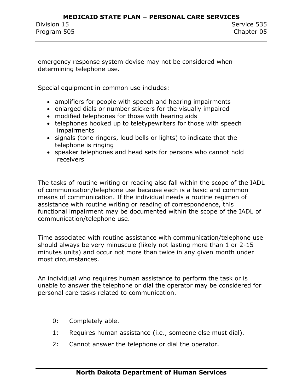emergency response system devise may not be considered when determining telephone use.

Special equipment in common use includes:

- amplifiers for people with speech and hearing impairments
- enlarged dials or number stickers for the visually impaired
- modified telephones for those with hearing aids
- telephones hooked up to teletypewriters for those with speech impairments
- signals (tone ringers, loud bells or lights) to indicate that the telephone is ringing
- speaker telephones and head sets for persons who cannot hold receivers

The tasks of routine writing or reading also fall within the scope of the IADL of communication/telephone use because each is a basic and common means of communication. If the individual needs a routine regimen of assistance with routine writing or reading of correspondence, this functional impairment may be documented within the scope of the IADL of communication/telephone use.

Time associated with routine assistance with communication/telephone use should always be very minuscule (likely not lasting more than 1 or 2-15 minutes units) and occur not more than twice in any given month under most circumstances.

An individual who requires human assistance to perform the task or is unable to answer the telephone or dial the operator may be considered for personal care tasks related to communication.

- 0: Completely able.
- 1: Requires human assistance (i.e., someone else must dial).
- 2: Cannot answer the telephone or dial the operator.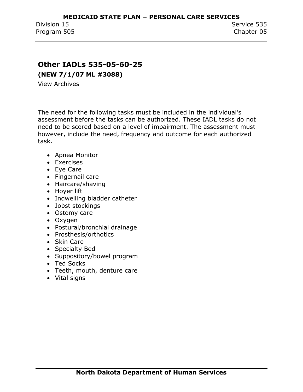## <span id="page-49-0"></span>**Other IADLs 535-05-60-25**

**(NEW 7/1/07 ML #3088)**

View Archives

The need for the following tasks must be included in the individual's assessment before the tasks can be authorized. These IADL tasks do not need to be scored based on a level of impairment. The assessment must however, include the need, frequency and outcome for each authorized task.

- Apnea Monitor
- Exercises
- Eye Care
- Fingernail care
- Haircare/shaving
- Hover lift
- Indwelling bladder catheter
- Jobst stockings
- Ostomy care
- Oxygen
- Postural/bronchial drainage
- Prosthesis/orthotics
- Skin Care
- Specialty Bed
- Suppository/bowel program
- Ted Socks
- Teeth, mouth, denture care
- Vital signs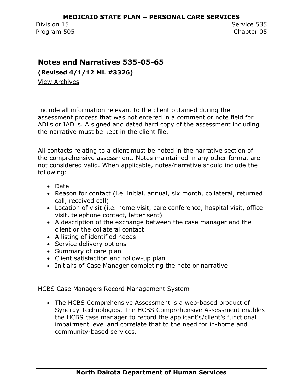### <span id="page-50-0"></span>**Notes and Narratives 535-05-65**

**(Revised 4/1/12 ML #3326)**

View Archives

Include all information relevant to the client obtained during the assessment process that was not entered in a comment or note field for ADLs or IADLs. A signed and dated hard copy of the assessment including the narrative must be kept in the client file.

All contacts relating to a client must be noted in the narrative section of the comprehensive assessment. Notes maintained in any other format are not considered valid. When applicable, notes/narrative should include the following:

- Date
- Reason for contact (i.e. initial, annual, six month, collateral, returned call, received call)
- Location of visit (i.e. home visit, care conference, hospital visit, office visit, telephone contact, letter sent)
- A description of the exchange between the case manager and the client or the collateral contact
- A listing of identified needs
- Service delivery options
- Summary of care plan
- Client satisfaction and follow-up plan
- Initial's of Case Manager completing the note or narrative

#### HCBS Case Managers Record Management System

 The HCBS Comprehensive Assessment is a web-based product of Synergy Technologies. The HCBS Comprehensive Assessment enables the HCBS case manager to record the applicant's/client's functional impairment level and correlate that to the need for in-home and community-based services.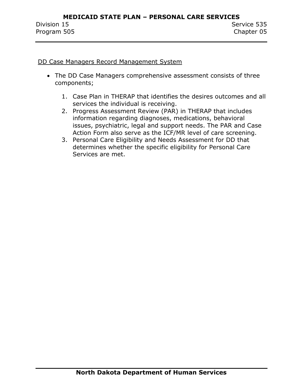#### DD Case Managers Record Management System

- The DD Case Managers comprehensive assessment consists of three components;
	- 1. Case Plan in THERAP that identifies the desires outcomes and all services the individual is receiving.
	- 2. Progress Assessment Review (PAR) in THERAP that includes information regarding diagnoses, medications, behavioral issues, psychiatric, legal and support needs. The PAR and Case Action Form also serve as the ICF/MR level of care screening.
	- 3. Personal Care Eligibility and Needs Assessment for DD that determines whether the specific eligibility for Personal Care Services are met.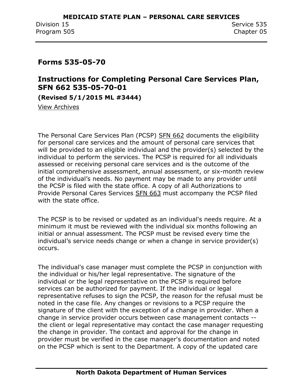### <span id="page-52-0"></span>**Forms 535-05-70**

## <span id="page-52-1"></span>**Instructions for Completing Personal Care Services Plan, SFN 662 535-05-70-01**

**(Revised 5/1/2015 ML #3444)**

View Archives

The Personal Care Services Plan (PCSP) SFN 662 documents the eligibility for personal care services and the amount of personal care services that will be provided to an eligible individual and the provider(s) selected by the individual to perform the services. The PCSP is required for all individuals assessed or receiving personal care services and is the outcome of the initial comprehensive assessment, annual assessment, or six-month review of the individual's needs. No payment may be made to any provider until the PCSP is filed with the state office. A copy of all Authorizations to Provide Personal Cares Services SFN 663 must accompany the PCSP filed with the state office.

The PCSP is to be revised or updated as an individual's needs require. At a minimum it must be reviewed with the individual six months following an initial or annual assessment. The PCSP must be revised every time the individual's service needs change or when a change in service provider(s) occurs.

The individual's case manager must complete the PCSP in conjunction with the individual or his/her legal representative. The signature of the individual or the legal representative on the PCSP is required before services can be authorized for payment. If the individual or legal representative refuses to sign the PCSP, the reason for the refusal must be noted in the case file. Any changes or revisions to a PCSP require the signature of the client with the exception of a change in provider. When a change in service provider occurs between case management contacts - the client or legal representative may contact the case manager requesting the change in provider. The contact and approval for the change in provider must be verified in the case manager's documentation and noted on the PCSP which is sent to the Department. A copy of the updated care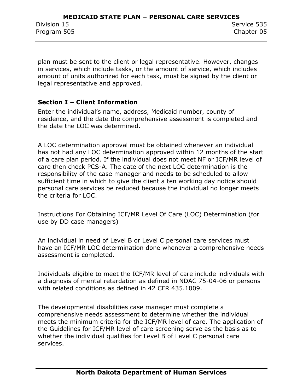plan must be sent to the client or legal representative. However, changes in services, which include tasks, or the amount of service, which includes amount of units authorized for each task, must be signed by the client or legal representative and approved.

#### **Section I – Client Information**

Enter the individual's name, address, Medicaid number, county of residence, and the date the comprehensive assessment is completed and the date the LOC was determined.

A LOC determination approval must be obtained whenever an individual has not had any LOC determination approved within 12 months of the start of a care plan period. If the individual does not meet NF or ICF/MR level of care then check PCS-A. The date of the next LOC determination is the responsibility of the case manager and needs to be scheduled to allow sufficient time in which to give the client a ten working day notice should personal care services be reduced because the individual no longer meets the criteria for LOC.

Instructions For Obtaining ICF/MR Level Of Care (LOC) Determination (for use by DD case managers)

An individual in need of Level B or Level C personal care services must have an ICF/MR LOC determination done whenever a comprehensive needs assessment is completed.

Individuals eligible to meet the ICF/MR level of care include individuals with a diagnosis of mental retardation as defined in NDAC 75-04-06 or persons with related conditions as defined in 42 CFR 435.1009.

The developmental disabilities case manager must complete a comprehensive needs assessment to determine whether the individual meets the minimum criteria for the ICF/MR level of care. The application of the Guidelines for ICF/MR level of care screening serve as the basis as to whether the individual qualifies for Level B of Level C personal care services.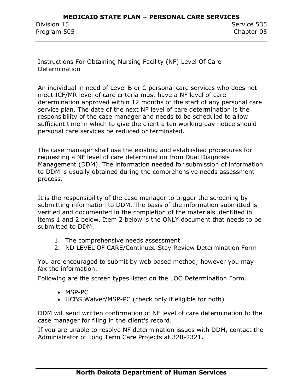Instructions For Obtaining Nursing Facility (NF) Level Of Care Determination

An individual in need of Level B or C personal care services who does not meet ICF/MR level of care criteria must have a NF level of care determination approved within 12 months of the start of any personal care service plan. The date of the next NF level of care determination is the responsibility of the case manager and needs to be scheduled to allow sufficient time in which to give the client a ten working day notice should personal care services be reduced or terminated.

The case manager shall use the existing and established procedures for requesting a NF level of care determination from Dual Diagnosis Management (DDM). The information needed for submission of information to DDM is usually obtained during the comprehensive needs assessment process.

It is the responsibility of the case manager to trigger the screening by submitting information to DDM. The basis of the information submitted is verified and documented in the completion of the materials identified in items 1 and 2 below. Item 2 below is the ONLY document that needs to be submitted to DDM.

- 1. The comprehensive needs assessment
- 2. ND LEVEL OF CARE/Continued Stay Review Determination Form

You are encouraged to submit by web based method; however you may fax the information.

Following are the screen types listed on the LOC Determination Form.

- MSP-PC
- HCBS Waiver/MSP-PC (check only if eligible for both)

DDM will send written confirmation of NF level of care determination to the case manager for filing in the client's record.

If you are unable to resolve NF determination issues with DDM, contact the Administrator of Long Term Care Projects at 328-2321.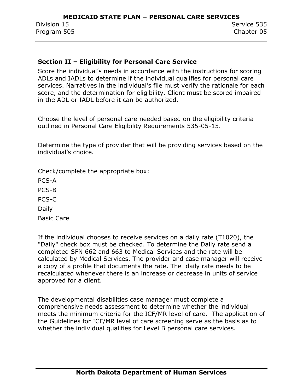#### **Section II – Eligibility for Personal Care Service**

Score the individual's needs in accordance with the instructions for scoring ADLs and IADLs to determine if the individual qualifies for personal care services. Narratives in the individual's file must verify the rationale for each score, and the determination for eligibility. Client must be scored impaired in the ADL or IADL before it can be authorized.

Choose the level of personal care needed based on the eligibility criteria outlined in Personal Care Eligibility Requirements 535-05-15.

Determine the type of provider that will be providing services based on the individual's choice.

Check/complete the appropriate box:

PCS-A PCS-B PCS-C Daily Basic Care

If the individual chooses to receive services on a daily rate (T1020), the "Daily" check box must be checked. To determine the Daily rate send a completed SFN 662 and 663 to Medical Services and the rate will be calculated by Medical Services. The provider and case manager will receive a copy of a profile that documents the rate. The daily rate needs to be recalculated whenever there is an increase or decrease in units of service approved for a client.

The developmental disabilities case manager must complete a comprehensive needs assessment to determine whether the individual meets the minimum criteria for the ICF/MR level of care. The application of the Guidelines for ICF/MR level of care screening serve as the basis as to whether the individual qualifies for Level B personal care services.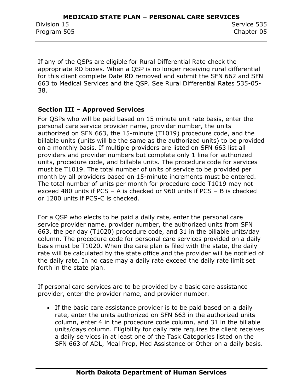If any of the QSPs are eligible for Rural Differential Rate check the appropriate RD boxes. When a QSP is no longer receiving rural differential for this client complete Date RD removed and submit the SFN 662 and SFN 663 to Medical Services and the QSP. See Rural Differential Rates 535-05- 38.

#### **Section III – Approved Services**

For QSPs who will be paid based on 15 minute unit rate basis, enter the personal care service provider name, provider number, the units authorized on SFN 663, the 15-minute (T1019) procedure code, and the billable units (units will be the same as the authorized units) to be provided on a monthly basis. If multiple providers are listed on SFN 663 list all providers and provider numbers but complete only 1 line for authorized units, procedure code, and billable units. The procedure code for services must be T1019. The total number of units of service to be provided per month by all providers based on 15-minute increments must be entered. The total number of units per month for procedure code T1019 may not exceed 480 units if PCS – A is checked or 960 units if PCS – B is checked or 1200 units if PCS-C is checked.

For a QSP who elects to be paid a daily rate, enter the personal care service provider name, provider number, the authorized units from SFN 663, the per day (T1020) procedure code, and 31 in the billable units/day column. The procedure code for personal care services provided on a daily basis must be T1020. When the care plan is filed with the state, the daily rate will be calculated by the state office and the provider will be notified of the daily rate. In no case may a daily rate exceed the daily rate limit set forth in the state plan.

If personal care services are to be provided by a basic care assistance provider, enter the provider name, and provider number.

• If the basic care assistance provider is to be paid based on a daily rate, enter the units authorized on SFN 663 in the authorized units column, enter 4 in the procedure code column, and 31 in the billable units/days column. Eligibility for daily rate requires the client receives a daily services in at least one of the Task Categories listed on the SFN 663 of ADL, Meal Prep, Med Assistance or Other on a daily basis.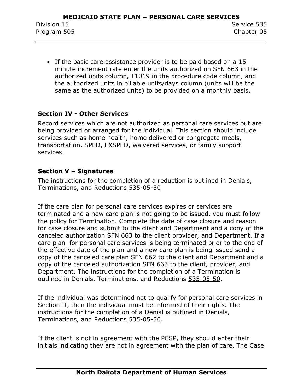If the basic care assistance provider is to be paid based on a 15 minute increment rate enter the units authorized on SFN 663 in the authorized units column, T1019 in the procedure code column, and the authorized units in billable units/days column (units will be the same as the authorized units) to be provided on a monthly basis.

#### **Section IV - Other Services**

Record services which are not authorized as personal care services but are being provided or arranged for the individual. This section should include services such as home health, home delivered or congregate meals, transportation, SPED, EXSPED, waivered services, or family support services.

#### **Section V – Signatures**

The instructions for the completion of a reduction is outlined in Denials, Terminations, and Reductions 535-05-50

If the care plan for personal care services expires or services are terminated and a new care plan is not going to be issued, you must follow the policy for Termination. Complete the date of case closure and reason for case closure and submit to the client and Department and a copy of the canceled authorization SFN 663 to the client provider, and Department. If a care plan for personal care services is being terminated prior to the end of the effective date of the plan and a new care plan is being issued send a copy of the canceled care plan SFN 662 to the client and Department and a copy of the canceled authorization SFN 663 to the client, provider, and Department. The instructions for the completion of a Termination is outlined in Denials, Terminations, and Reductions 535-05-50.

If the individual was determined not to qualify for personal care services in Section II, then the individual must be informed of their rights. The instructions for the completion of a Denial is outlined in Denials, Terminations, and Reductions 535-05-50.

If the client is not in agreement with the PCSP, they should enter their initials indicating they are not in agreement with the plan of care. The Case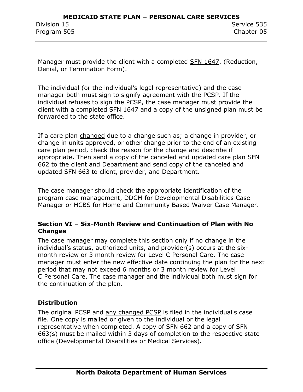Manager must provide the client with a completed SFN 1647, (Reduction, Denial, or Termination Form).

The individual (or the individual's legal representative) and the case manager both must sign to signify agreement with the PCSP. If the individual refuses to sign the PCSP, the case manager must provide the client with a completed SFN 1647 and a copy of the unsigned plan must be forwarded to the state office.

If a care plan changed due to a change such as; a change in provider, or change in units approved, or other change prior to the end of an existing care plan period, check the reason for the change and describe if appropriate. Then send a copy of the canceled and updated care plan SFN 662 to the client and Department and send copy of the canceled and updated SFN 663 to client, provider, and Department.

The case manager should check the appropriate identification of the program case management, DDCM for Developmental Disabilities Case Manager or HCBS for Home and Community Based Waiver Case Manager.

#### **Section VI – Six-Month Review and Continuation of Plan with No Changes**

The case manager may complete this section only if no change in the individual's status, authorized units, and provider(s) occurs at the sixmonth review or 3 month review for Level C Personal Care. The case manager must enter the new effective date continuing the plan for the next period that may not exceed 6 months or 3 month review for Level C Personal Care. The case manager and the individual both must sign for the continuation of the plan.

#### **Distribution**

The original PCSP and any changed PCSP is filed in the individual's case file. One copy is mailed or given to the individual or the legal representative when completed. A copy of SFN 662 and a copy of SFN 663(s) must be mailed within 3 days of completion to the respective state office (Developmental Disabilities or Medical Services).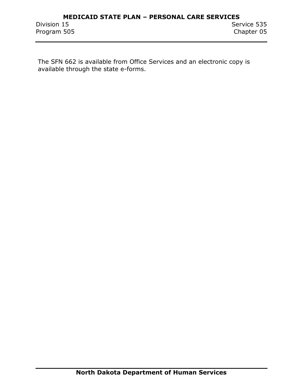The SFN 662 is available from Office Services and an electronic copy is available through the state e-forms.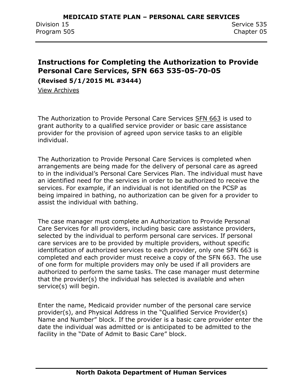## <span id="page-60-0"></span>**Instructions for Completing the Authorization to Provide Personal Care Services, SFN 663 535-05-70-05**

**(Revised 5/1/2015 ML #3444)**

View Archives

The Authorization to Provide Personal Care Services SFN 663 is used to grant authority to a qualified service provider or basic care assistance provider for the provision of agreed upon service tasks to an eligible individual.

The Authorization to Provide Personal Care Services is completed when arrangements are being made for the delivery of personal care as agreed to in the individual's Personal Care Services Plan. The individual must have an identified need for the services in order to be authorized to receive the services. For example, if an individual is not identified on the PCSP as being impaired in bathing, no authorization can be given for a provider to assist the individual with bathing.

The case manager must complete an Authorization to Provide Personal Care Services for all providers, including basic care assistance providers, selected by the individual to perform personal care services. If personal care services are to be provided by multiple providers, without specific identification of authorized services to each provider, only one SFN 663 is completed and each provider must receive a copy of the SFN 663. The use of one form for multiple providers may only be used if all providers are authorized to perform the same tasks. The case manager must determine that the provider(s) the individual has selected is available and when service(s) will begin.

Enter the name, Medicaid provider number of the personal care service provider(s), and Physical Address in the "Qualified Service Provider(s) Name and Number" block. If the provider is a basic care provider enter the date the individual was admitted or is anticipated to be admitted to the facility in the "Date of Admit to Basic Care" block.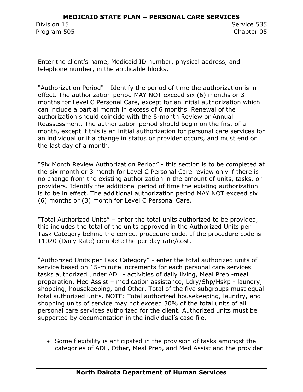Enter the client's name, Medicaid ID number, physical address, and telephone number, in the applicable blocks.

"Authorization Period" - Identify the period of time the authorization is in effect. The authorization period MAY NOT exceed six (6) months or 3 months for Level C Personal Care, except for an initial authorization which can include a partial month in excess of 6 months. Renewal of the authorization should coincide with the 6-month Review or Annual Reassessment. The authorization period should begin on the first of a month, except if this is an initial authorization for personal care services for an individual or if a change in status or provider occurs, and must end on the last day of a month.

"Six Month Review Authorization Period" - this section is to be completed at the six month or 3 month for Level C Personal Care review only if there is no change from the existing authorization in the amount of units, tasks, or providers. Identify the additional period of time the existing authorization is to be in effect. The additional authorization period MAY NOT exceed six (6) months or (3) month for Level C Personal Care.

"Total Authorized Units" – enter the total units authorized to be provided, this includes the total of the units approved in the Authorized Units per Task Category behind the correct procedure code. If the procedure code is T1020 (Daily Rate) complete the per day rate/cost.

"Authorized Units per Task Category" - enter the total authorized units of service based on 15-minute increments for each personal care services tasks authorized under ADL - activities of daily living, Meal Prep -meal preparation, Med Assist – medication assistance, Ldry/Shp/Hskp - laundry, shopping, housekeeping, and Other. Total of the five subgroups must equal total authorized units. NOTE: Total authorized housekeeping, laundry, and shopping units of service may not exceed 30% of the total units of all personal care services authorized for the client. Authorized units must be supported by documentation in the individual's case file.

• Some flexibility is anticipated in the provision of tasks amongst the categories of ADL, Other, Meal Prep, and Med Assist and the provider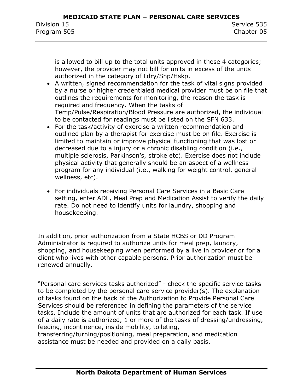is allowed to bill up to the total units approved in these 4 categories; however, the provider may not bill for units in excess of the units authorized in the category of Ldry/Shp/Hskp.

- A written, signed recommendation for the task of vital signs provided by a nurse or higher credentialed medical provider must be on file that outlines the requirements for monitoring, the reason the task is required and frequency. When the tasks of Temp/Pulse/Respiration/Blood Pressure are authorized, the individual to be contacted for readings must be listed on the SFN 633.
- For the task/activity of exercise a written recommendation and outlined plan by a therapist for exercise must be on file. Exercise is limited to maintain or improve physical functioning that was lost or decreased due to a injury or a chronic disabling condition (i.e., multiple sclerosis, Parkinson's, stroke etc). Exercise does not include physical activity that generally should be an aspect of a wellness program for any individual (i.e., walking for weight control, general wellness, etc).
- For individuals receiving Personal Care Services in a Basic Care setting, enter ADL, Meal Prep and Medication Assist to verify the daily rate. Do not need to identify units for laundry, shopping and housekeeping.

In addition, prior authorization from a State HCBS or DD Program Administrator is required to authorize units for meal prep, laundry, shopping, and housekeeping when performed by a live in provider or for a client who lives with other capable persons. Prior authorization must be renewed annually.

"Personal care services tasks authorized" - check the specific service tasks to be completed by the personal care service provider(s). The explanation of tasks found on the back of the Authorization to Provide Personal Care Services should be referenced in defining the parameters of the service tasks. Include the amount of units that are authorized for each task. If use of a daily rate is authorized, 1 or more of the tasks of dressing/undressing, feeding, incontinence, inside mobility, toileting,

transferring/turning/positioning, meal preparation, and medication assistance must be needed and provided on a daily basis.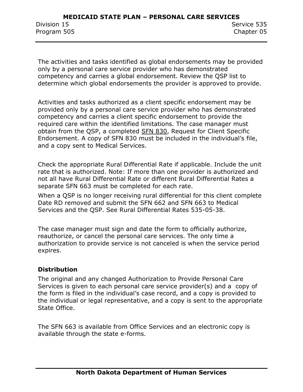The activities and tasks identified as global endorsements may be provided only by a personal care service provider who has demonstrated competency and carries a global endorsement. Review the QSP list to determine which global endorsements the provider is approved to provide.

Activities and tasks authorized as a client specific endorsement may be provided only by a personal care service provider who has demonstrated competency and carries a client specific endorsement to provide the required care within the identified limitations. The case manager must obtain from the QSP, a completed SFN 830, Request for Client Specific Endorsement. A copy of SFN 830 must be included in the individual's file, and a copy sent to Medical Services.

Check the appropriate Rural Differential Rate if applicable. Include the unit rate that is authorized. Note: If more than one provider is authorized and not all have Rural Differential Rate or different Rural Differential Rates a separate SFN 663 must be completed for each rate.

When a QSP is no longer receiving rural differential for this client complete Date RD removed and submit the SFN 662 and SFN 663 to Medical Services and the QSP. See Rural Differential Rates 535-05-38.

The case manager must sign and date the form to officially authorize, reauthorize, or cancel the personal care services. The only time a authorization to provide service is not canceled is when the service period expires.

#### **Distribution**

The original and any changed Authorization to Provide Personal Care Services is given to each personal care service provider(s) and a copy of the form is filed in the individual's case record, and a copy is provided to the individual or legal representative, and a copy is sent to the appropriate State Office.

The SFN 663 is available from Office Services and an electronic copy is available through the state e-forms.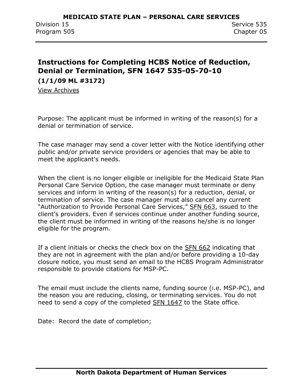## <span id="page-64-0"></span>**Instructions for Completing HCBS Notice of Reduction, Denial or Termination, SFN 1647 535-05-70-10 (1/1/09 ML #3172)**

View Archives

Purpose: The applicant must be informed in writing of the reason(s) for a denial or termination of service.

The case manager may send a cover letter with the Notice identifying other public and/or private service providers or agencies that may be able to meet the applicant's needs.

When the client is no longer eligible or ineligible for the Medicaid State Plan Personal Care Service Option, the case manager must terminate or deny services and inform in writing of the reason(s) for a reduction, denial, or termination of service. The case manager must also cancel any current "Authorization to Provide Personal Care Services," SFN 663, issued to the client's providers. Even if services continue under another funding source, the client must be informed in writing of the reasons he/she is no longer eligible for the program.

If a client initials or checks the check box on the SFN 662 indicating that they are not in agreement with the plan and/or before providing a 10-day closure notice, you must send an email to the HCBS Program Administrator responsible to provide citations for MSP-PC.

The email must include the clients name, funding source (i.e. MSP-PC), and the reason you are reducing, closing, or terminating services. You do not need to send a copy of the completed [SFN 1647](http://www.nd.gov/eforms/Doc/sfn01647.pdf) to the State office.

Date: Record the date of completion;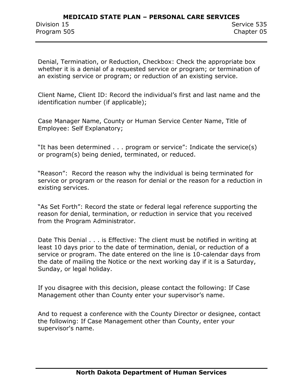Denial, Termination, or Reduction, Checkbox: Check the appropriate box whether it is a denial of a requested service or program; or termination of an existing service or program; or reduction of an existing service.

Client Name, Client ID: Record the individual's first and last name and the identification number (if applicable);

Case Manager Name, County or Human Service Center Name, Title of Employee: Self Explanatory;

"It has been determined . . . program or service": Indicate the service(s) or program(s) being denied, terminated, or reduced.

"Reason": Record the reason why the individual is being terminated for service or program or the reason for denial or the reason for a reduction in existing services.

"As Set Forth": Record the state or federal legal reference supporting the reason for denial, termination, or reduction in service that you received from the Program Administrator.

Date This Denial . . . is Effective: The client must be notified in writing at least 10 days prior to the date of termination, denial, or reduction of a service or program. The date entered on the line is 10-calendar days from the date of mailing the Notice or the next working day if it is a Saturday, Sunday, or legal holiday.

If you disagree with this decision, please contact the following: If Case Management other than County enter your supervisor's name.

And to request a conference with the County Director or designee, contact the following: If Case Management other than County, enter your supervisor's name.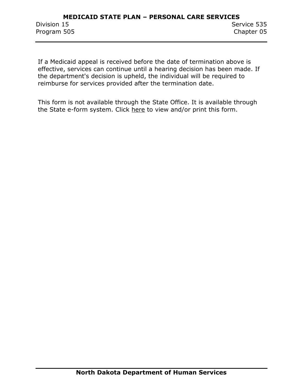If a Medicaid appeal is received before the date of termination above is effective, services can continue until a hearing decision has been made. If the department's decision is upheld, the individual will be required to reimburse for services provided after the termination date.

This form is not available through the State Office. It is available through the State e-form system. Click [here](http://www.nd.gov/eforms/Doc/sfn01647.pdf) to view and/or print this form.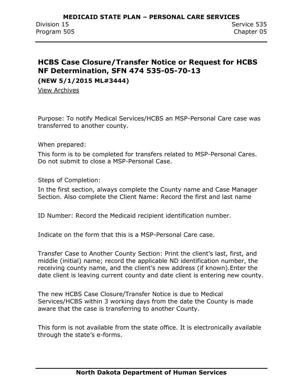## <span id="page-67-0"></span>**HCBS Case Closure/Transfer Notice or Request for HCBS NF Determination, SFN 474 535-05-70-13 (NEW 5/1/2015 ML#3444)**

View Archives

Purpose: To notify Medical Services/HCBS an MSP-Personal Care case was transferred to another county.

When prepared:

This form is to be completed for transfers related to MSP-Personal Cares. Do not submit to close a MSP-Personal Case.

Steps of Completion:

In the first section, always complete the County name and Case Manager Section. Also complete the Client Name: Record the first and last name

ID Number: Record the Medicaid recipient identification number.

Indicate on the form that this is a MSP-Personal Care case.

Transfer Case to Another County Section: Print the client's last, first, and middle (initial) name; record the applicable ND identification number, the receiving county name, and the client's new address (if known).Enter the date client is leaving current county and date client is entering new county.

The new HCBS Case Closure/Transfer Notice is due to Medical Services/HCBS within 3 working days from the date the County is made aware that the case is transferring to another County.

This form is not available from the state office. It is electronically available through the state's e-forms.